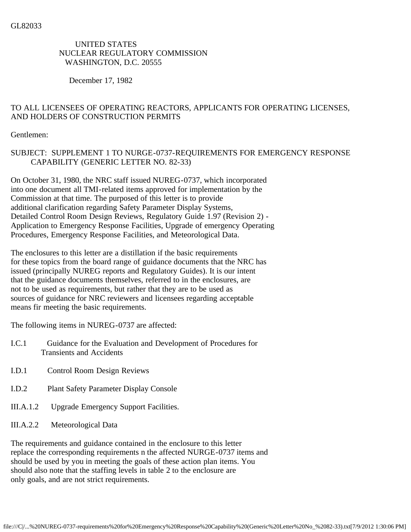## UNITED STATES NUCLEAR REGULATORY COMMISSION WASHINGTON, D.C. 20555

December 17, 1982

## TO ALL LICENSEES OF OPERATING REACTORS, APPLICANTS FOR OPERATING LICENSES, AND HOLDERS OF CONSTRUCTION PERMITS

Gentlemen:

## SUBJECT: SUPPLEMENT 1 TO NURGE-0737-REQUIREMENTS FOR EMERGENCY RESPONSE CAPABILITY (GENERIC LETTER NO. 82-33)

On October 31, 1980, the NRC staff issued NUREG-0737, which incorporated into one document all TMI-related items approved for implementation by the Commission at that time. The purposed of this letter is to provide additional clarification regarding Safety Parameter Display Systems, Detailed Control Room Design Reviews, Regulatory Guide 1.97 (Revision 2) - Application to Emergency Response Facilities, Upgrade of emergency Operating Procedures, Emergency Response Facilities, and Meteorological Data.

The enclosures to this letter are a distillation if the basic requirements for these topics from the board range of guidance documents that the NRC has issued (principally NUREG reports and Regulatory Guides). It is our intent that the guidance documents themselves, referred to in the enclosures, are not to be used as requirements, but rather that they are to be used as sources of guidance for NRC reviewers and licensees regarding acceptable means fir meeting the basic requirements.

The following items in NUREG-0737 are affected:

- I.C.1 Guidance for the Evaluation and Development of Procedures for Transients and Accidents
- I.D.1 Control Room Design Reviews
- I.D.2 Plant Safety Parameter Display Console
- III.A.1.2 Upgrade Emergency Support Facilities.
- III.A.2.2 Meteorological Data

The requirements and guidance contained in the enclosure to this letter replace the corresponding requirements n the affected NURGE-0737 items and should be used by you in meeting the goals of these action plan items. You should also note that the staffing levels in table 2 to the enclosure are only goals, and are not strict requirements.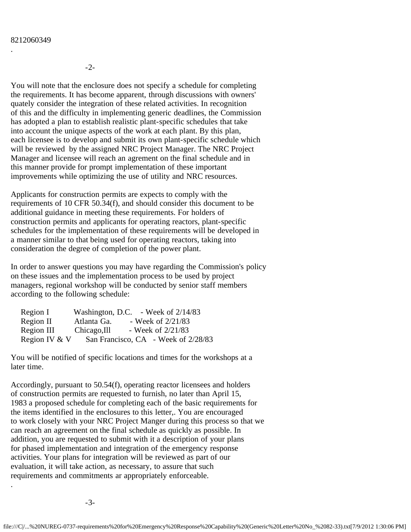## 8212060349

.

-2-

You will note that the enclosure does not specify a schedule for completing the requirements. It has become apparent, through discussions with owners' quately consider the integration of these related activities. In recognition of this and the difficulty in implementing generic deadlines, the Commission has adopted a plan to establish realistic plant-specific schedules that take into account the unique aspects of the work at each plant. By this plan, each licensee is to develop and submit its own plant-specific schedule which will be reviewed by the assigned NRC Project Manager. The NRC Project Manager and licensee will reach an agrement on the final schedule and in this manner provide for prompt implementation of these important improvements while optimizing the use of utility and NRC resources.

Applicants for construction permits are expects to comply with the requirements of 10 CFR 50.34(f), and should consider this document to be additional guidance in meeting these requirements. For holders of construction permits and applicants for operating reactors, plant-specific schedules for the implementation of these requirements will be developed in a manner similar to that being used for operating reactors, taking into consideration the degree of completion of the power plant.

In order to answer questions you may have regarding the Commission's policy on these issues and the implementation process to be used by project managers, regional workshop will be conducted by senior staff members according to the following schedule:

| Region I      |              | Washington, D.C. - Week of 2/14/83  |
|---------------|--------------|-------------------------------------|
| Region II     | Atlanta Ga.  | - Week of $2/21/83$                 |
| Region III    | Chicago, Ill | - Week of $2/21/83$                 |
| Region IV & V |              | San Francisco, CA - Week of 2/28/83 |

You will be notified of specific locations and times for the workshops at a later time.

Accordingly, pursuant to 50.54(f), operating reactor licensees and holders of construction permits are requested to furnish, no later than April 15, 1983 a proposed schedule for completing each of the basic requirements for the items identified in the enclosures to this letter,. You are encouraged to work closely with your NRC Project Manger during this process so that we can reach an agreement on the final schedule as quickly as possible. In addition, you are requested to submit with it a description of your plans for phased implementation and integration of the emergency response activities. Your plans for integration will be reviewed as part of our evaluation, it will take action, as necessary, to assure that such requirements and commitments ar appropriately enforceable.

.